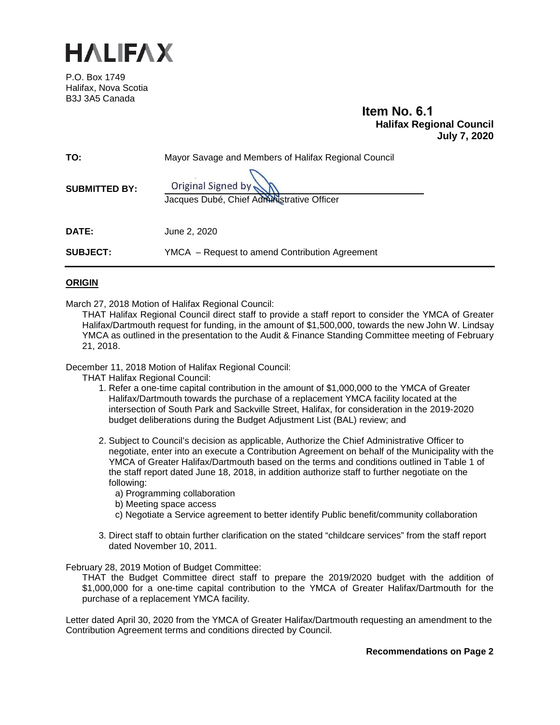

P.O. Box 1749 Halifax, Nova Scotia B3J 3A5 Canada

# **Item No. 6.1 Halifax Regional Council July 7, 2020**

| TO:                  | Mayor Savage and Members of Halifax Regional Council             |
|----------------------|------------------------------------------------------------------|
| <b>SUBMITTED BY:</b> | Original Signed by<br>Jacques Dubé, Chief Administrative Officer |
| <b>DATE:</b>         | June 2, 2020                                                     |
| <b>SUBJECT:</b>      | YMCA – Request to amend Contribution Agreement                   |

# **ORIGIN**

March 27, 2018 Motion of Halifax Regional Council:

THAT Halifax Regional Council direct staff to provide a staff report to consider the YMCA of Greater Halifax/Dartmouth request for funding, in the amount of \$1,500,000, towards the new John W. Lindsay YMCA as outlined in the presentation to the Audit & Finance Standing Committee meeting of February 21, 2018.

December 11, 2018 Motion of Halifax Regional Council:

THAT Halifax Regional Council:

- 1. Refer a one-time capital contribution in the amount of \$1,000,000 to the YMCA of Greater Halifax/Dartmouth towards the purchase of a replacement YMCA facility located at the intersection of South Park and Sackville Street, Halifax, for consideration in the 2019-2020 budget deliberations during the Budget Adjustment List (BAL) review; and
- 2. Subject to Council's decision as applicable, Authorize the Chief Administrative Officer to negotiate, enter into an execute a Contribution Agreement on behalf of the Municipality with the YMCA of Greater Halifax/Dartmouth based on the terms and conditions outlined in Table 1 of the staff report dated June 18, 2018, in addition authorize staff to further negotiate on the following:
	- a) Programming collaboration
	- b) Meeting space access
	- c) Negotiate a Service agreement to better identify Public benefit/community collaboration
- 3. Direct staff to obtain further clarification on the stated "childcare services" from the staff report dated November 10, 2011.

February 28, 2019 Motion of Budget Committee:

THAT the Budget Committee direct staff to prepare the 2019/2020 budget with the addition of \$1,000,000 for a one-time capital contribution to the YMCA of Greater Halifax/Dartmouth for the purchase of a replacement YMCA facility.

Letter dated April 30, 2020 from the YMCA of Greater Halifax/Dartmouth requesting an amendment to the Contribution Agreement terms and conditions directed by Council.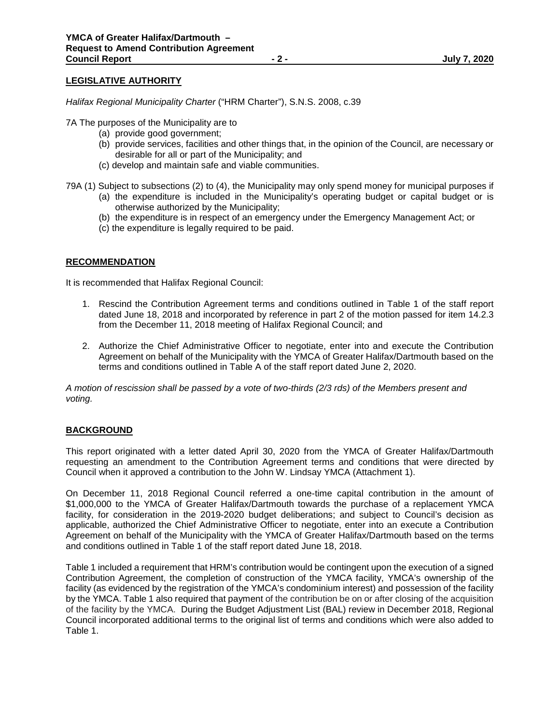# **LEGISLATIVE AUTHORITY**

*Halifax Regional Municipality Charter* ("HRM Charter"), S.N.S. 2008, c.39

7A The purposes of the Municipality are to

- (a) provide good government;
- (b) provide services, facilities and other things that, in the opinion of the Council, are necessary or desirable for all or part of the Municipality; and
- (c) develop and maintain safe and viable communities.
- 79A (1) Subject to subsections (2) to (4), the Municipality may only spend money for municipal purposes if
	- (a) the expenditure is included in the Municipality's operating budget or capital budget or is otherwise authorized by the Municipality;
	- (b) the expenditure is in respect of an emergency under the Emergency Management Act; or
	- (c) the expenditure is legally required to be paid.

# **RECOMMENDATION**

It is recommended that Halifax Regional Council:

- 1. Rescind the Contribution Agreement terms and conditions outlined in Table 1 of the staff report dated June 18, 2018 and incorporated by reference in part 2 of the motion passed for item 14.2.3 from the December 11, 2018 meeting of Halifax Regional Council; and
- 2. Authorize the Chief Administrative Officer to negotiate, enter into and execute the Contribution Agreement on behalf of the Municipality with the YMCA of Greater Halifax/Dartmouth based on the terms and conditions outlined in Table A of the staff report dated June 2, 2020.

*A motion of rescission shall be passed by a vote of two-thirds (2/3 rds) of the Members present and voting.*

# **BACKGROUND**

This report originated with a letter dated April 30, 2020 from the YMCA of Greater Halifax/Dartmouth requesting an amendment to the Contribution Agreement terms and conditions that were directed by Council when it approved a contribution to the John W. Lindsay YMCA (Attachment 1).

On December 11, 2018 Regional Council referred a one-time capital contribution in the amount of \$1,000,000 to the YMCA of Greater Halifax/Dartmouth towards the purchase of a replacement YMCA facility, for consideration in the 2019-2020 budget deliberations; and subject to Council's decision as applicable, authorized the Chief Administrative Officer to negotiate, enter into an execute a Contribution Agreement on behalf of the Municipality with the YMCA of Greater Halifax/Dartmouth based on the terms and conditions outlined in Table 1 of the staff report dated June 18, 2018.

Table 1 included a requirement that HRM's contribution would be contingent upon the execution of a signed Contribution Agreement, the completion of construction of the YMCA facility, YMCA's ownership of the facility (as evidenced by the registration of the YMCA's condominium interest) and possession of the facility by the YMCA. Table 1 also required that payment of the contribution be on or after closing of the acquisition of the facility by the YMCA. During the Budget Adjustment List (BAL) review in December 2018, Regional Council incorporated additional terms to the original list of terms and conditions which were also added to Table 1.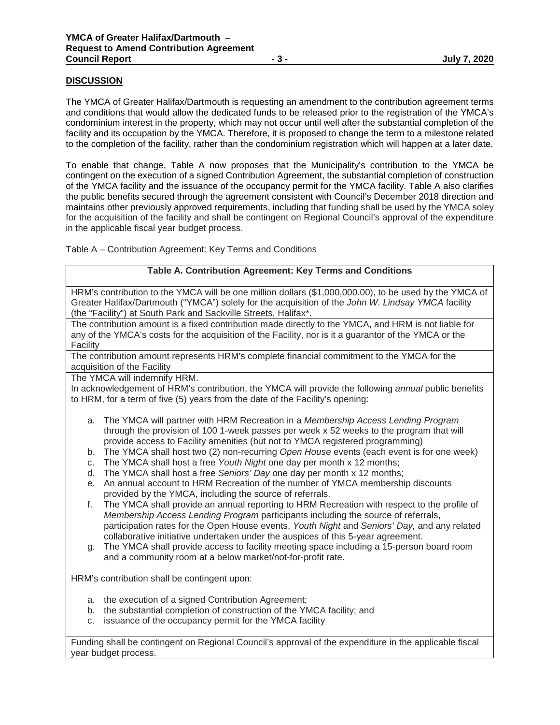# **DISCUSSION**

The YMCA of Greater Halifax/Dartmouth is requesting an amendment to the contribution agreement terms and conditions that would allow the dedicated funds to be released prior to the registration of the YMCA's condominium interest in the property, which may not occur until well after the substantial completion of the facility and its occupation by the YMCA. Therefore, it is proposed to change the term to a milestone related to the completion of the facility, rather than the condominium registration which will happen at a later date.

To enable that change, Table A now proposes that the Municipality's contribution to the YMCA be contingent on the execution of a signed Contribution Agreement, the substantial completion of construction of the YMCA facility and the issuance of the occupancy permit for the YMCA facility. Table A also clarifies the public benefits secured through the agreement consistent with Council's December 2018 direction and maintains other previously approved requirements, including that funding shall be used by the YMCA soley for the acquisition of the facility and shall be contingent on Regional Council's approval of the expenditure in the applicable fiscal year budget process.

Table A – Contribution Agreement: Key Terms and Conditions

#### **Table A. Contribution Agreement: Key Terms and Conditions**

HRM's contribution to the YMCA will be one million dollars (\$1,000,000.00), to be used by the YMCA of Greater Halifax/Dartmouth ("YMCA") solely for the acquisition of the *John W. Lindsay YMCA* facility (the "Facility") at South Park and Sackville Streets, Halifax\*.

The contribution amount is a fixed contribution made directly to the YMCA, and HRM is not liable for any of the YMCA's costs for the acquisition of the Facility, nor is it a guarantor of the YMCA or the **Facility** 

The contribution amount represents HRM's complete financial commitment to the YMCA for the acquisition of the Facility

The YMCA will indemnify HRM.

In acknowledgement of HRM's contribution, the YMCA will provide the following *annual* public benefits to HRM, for a term of five (5) years from the date of the Facility's opening:

- a. The YMCA will partner with HRM Recreation in a *Membership Access Lending Program* through the provision of 100 1-week passes per week x 52 weeks to the program that will provide access to Facility amenities (but not to YMCA registered programming)
- b. The YMCA shall host two (2) non-recurring *Open House* events (each event is for one week)
- c. The YMCA shall host a free *Youth Night* one day per month x 12 months;
- d. The YMCA shall host a free *Seniors' Day* one day per month x 12 months;
- e. An annual account to HRM Recreation of the number of YMCA membership discounts provided by the YMCA, including the source of referrals.
- f. The YMCA shall provide an annual reporting to HRM Recreation with respect to the profile of *Membership Access Lending Program* participants including the source of referrals, participation rates for the Open House events, *Youth Night* and *Seniors' Day,* and any related collaborative initiative undertaken under the auspices of this 5-year agreement.
- g. The YMCA shall provide access to facility meeting space including a 15-person board room and a community room at a below market/not-for-profit rate.

HRM's contribution shall be contingent upon:

- a. the execution of a signed Contribution Agreement;
- b. the substantial completion of construction of the YMCA facility; and
- c. issuance of the occupancy permit for the YMCA facility

Funding shall be contingent on Regional Council's approval of the expenditure in the applicable fiscal year budget process.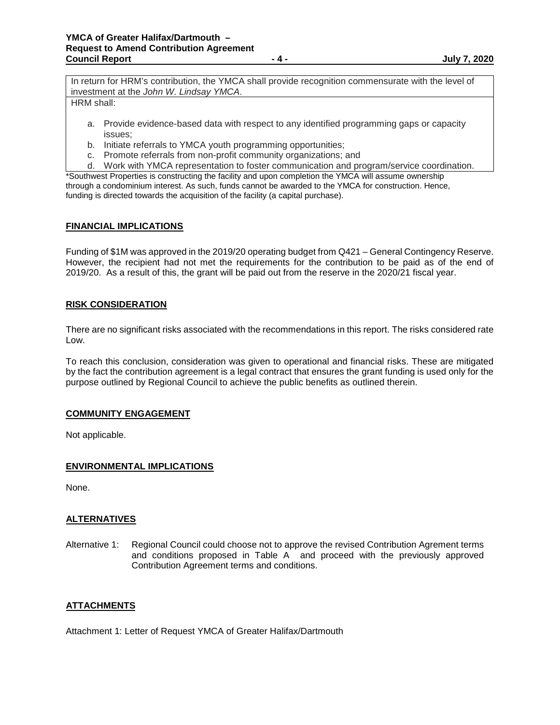In return for HRM's contribution, the YMCA shall provide recognition commensurate with the level of investment at the *John W. Lindsay YMCA*.

HRM shall:

- a. Provide evidence-based data with respect to any identified programming gaps or capacity issues;
- b. Initiate referrals to YMCA youth programming opportunities;
- c. Promote referrals from non-profit community organizations; and
- d. Work with YMCA representation to foster communication and program/service coordination.

\*Southwest Properties is constructing the facility and upon completion the YMCA will assume ownership through a condominium interest. As such, funds cannot be awarded to the YMCA for construction. Hence, funding is directed towards the acquisition of the facility (a capital purchase).

# **FINANCIAL IMPLICATIONS**

Funding of \$1M was approved in the 2019/20 operating budget from Q421 – General Contingency Reserve. However, the recipient had not met the requirements for the contribution to be paid as of the end of 2019/20. As a result of this, the grant will be paid out from the reserve in the 2020/21 fiscal year.

#### **RISK CONSIDERATION**

There are no significant risks associated with the recommendations in this report. The risks considered rate Low.

To reach this conclusion, consideration was given to operational and financial risks. These are mitigated by the fact the contribution agreement is a legal contract that ensures the grant funding is used only for the purpose outlined by Regional Council to achieve the public benefits as outlined therein.

#### **COMMUNITY ENGAGEMENT**

Not applicable.

# **ENVIRONMENTAL IMPLICATIONS**

None.

# **ALTERNATIVES**

Alternative 1: Regional Council could choose not to approve the revised Contribution Agrement terms and conditions proposed in Table  $A^{\dagger}$  and proceed with the previously approved Contribution Agreement terms and conditions.

# **ATTACHMENTS**

Attachment 1: Letter of Request YMCA of Greater Halifax/Dartmouth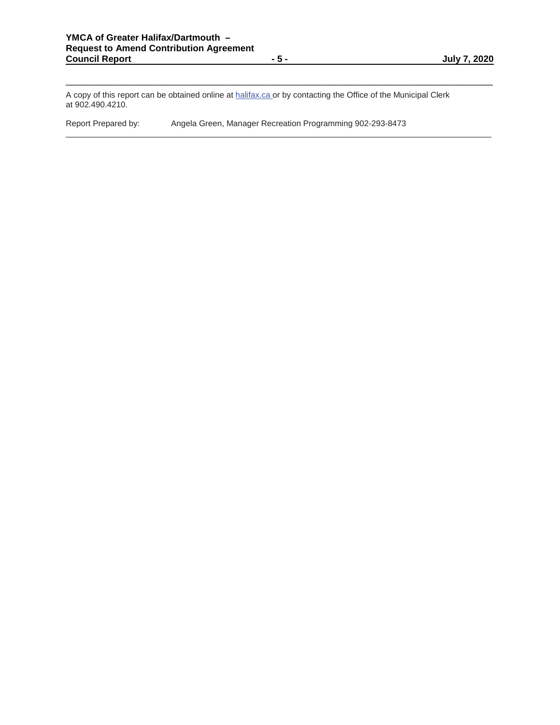\_\_\_\_\_\_\_\_\_\_\_\_\_\_\_\_\_\_\_\_\_\_\_\_\_\_\_\_\_\_\_\_\_\_\_\_\_\_\_\_\_\_\_\_\_\_\_\_\_\_\_\_\_\_\_\_\_\_\_\_\_\_\_\_\_\_\_\_\_\_\_\_\_\_\_\_\_\_\_\_\_\_\_\_

\_\_\_\_\_\_\_\_\_\_\_\_\_\_\_\_\_\_\_\_\_\_\_\_\_\_\_\_\_\_\_\_\_\_\_\_\_\_\_\_\_\_\_\_\_\_\_\_\_\_\_\_\_\_\_\_\_\_\_\_\_\_\_\_\_\_\_\_\_\_\_\_\_\_\_\_\_\_\_\_\_\_\_\_\_\_\_\_\_\_\_\_\_

A copy of this report can be obtained online at halifax.ca or by contacting the Office of the Municipal Clerk at 902.490.4210.

Report Prepared by: Angela Green, Manager Recreation Programming 902-293-8473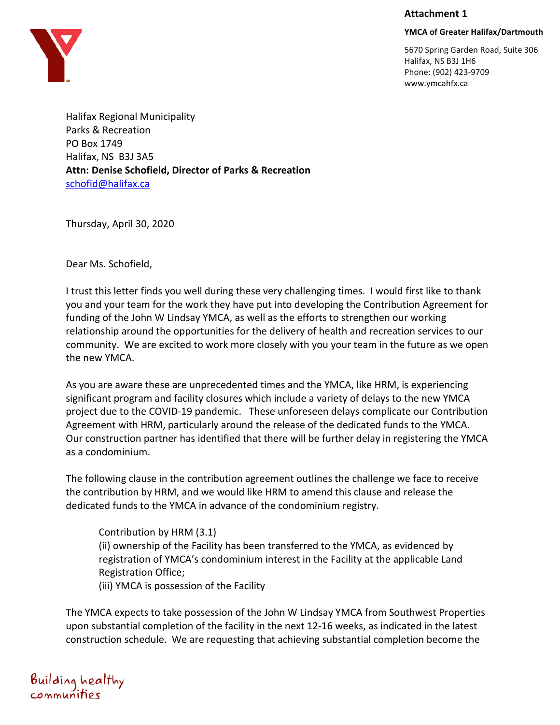### **Attachment 1**

# **YMCA of Greater Halifax/Dartmouth**

5670 Spring Garden Road, Suite 306 Halifax, NS B3J 1H6 Phone: (902) 423-9709 www.ymcahfx.ca

Halifax Regional Municipality Parks & Recreation PO Box 1749 Halifax, NS B3J 3A5 **Attn: Denise Schofield, Director of Parks & Recreation** schofid@halifax.ca

Thursday, April 30, 2020

Dear Ms. Schofield,

I trust this letter finds you well during these very challenging times. I would first like to thank you and your team for the work they have put into developing the Contribution Agreement for funding of the John W Lindsay YMCA, as well as the efforts to strengthen our working relationship around the opportunities for the delivery of health and recreation services to our community. We are excited to work more closely with you your team in the future as we open the new YMCA.

As you are aware these are unprecedented times and the YMCA, like HRM, is experiencing significant program and facility closures which include a variety of delays to the new YMCA project due to the COVID-19 pandemic. These unforeseen delays complicate our Contribution Agreement with HRM, particularly around the release of the dedicated funds to the YMCA. Our construction partner has identified that there will be further delay in registering the YMCA as a condominium.

The following clause in the contribution agreement outlines the challenge we face to receive the contribution by HRM, and we would like HRM to amend this clause and release the dedicated funds to the YMCA in advance of the condominium registry.

Contribution by HRM (3.1) (ii) ownership of the Facility has been transferred to the YMCA, as evidenced by registration of YMCA's condominium interest in the Facility at the applicable Land Registration Office;

(iii) YMCA is possession of the Facility

The YMCA expects to take possession of the John W Lindsay YMCA from Southwest Properties upon substantial completion of the facility in the next 12-16 weeks, as indicated in the latest construction schedule. We are requesting that achieving substantial completion become the

Building healthy<br>communities